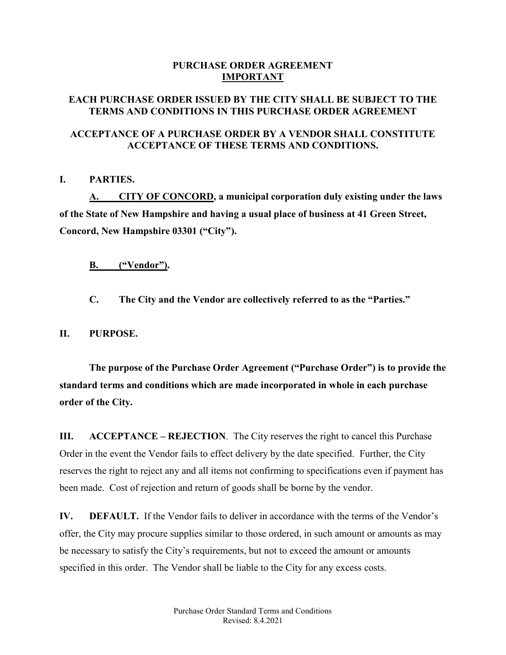# **PURCHASE ORDER AGREEMENT IMPORTANT**

# **EACH PURCHASE ORDER ISSUED BY THE CITY SHALL BE SUBJECT TO THE TERMS AND CONDITIONS IN THIS PURCHASE ORDER AGREEMENT**

# **ACCEPTANCE OF A PURCHASE ORDER BY A VENDOR SHALL CONSTITUTE ACCEPTANCE OF THESE TERMS AND CONDITIONS.**

# **I. PARTIES.**

**A. CITY OF CONCORD, a municipal corporation duly existing under the laws of the State of New Hampshire and having a usual place of business at 41 Green Street, Concord, New Hampshire 03301 ("City").**

**B. ("Vendor").**

**C. The City and the Vendor are collectively referred to as the "Parties."**

**II. PURPOSE.**

**The purpose of the Purchase Order Agreement ("Purchase Order") is to provide the standard terms and conditions which are made incorporated in whole in each purchase order of the City.** 

**III. ACCEPTANCE – REJECTION**. The City reserves the right to cancel this Purchase Order in the event the Vendor fails to effect delivery by the date specified. Further, the City reserves the right to reject any and all items not confirming to specifications even if payment has been made. Cost of rejection and return of goods shall be borne by the vendor.

**IV. DEFAULT.** If the Vendor fails to deliver in accordance with the terms of the Vendor's offer, the City may procure supplies similar to those ordered, in such amount or amounts as may be necessary to satisfy the City's requirements, but not to exceed the amount or amounts specified in this order. The Vendor shall be liable to the City for any excess costs.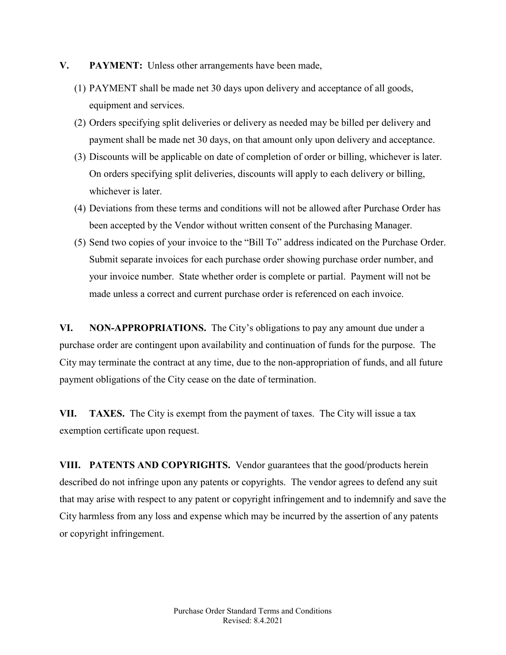- **V. PAYMENT:** Unless other arrangements have been made,
	- (1) PAYMENT shall be made net 30 days upon delivery and acceptance of all goods, equipment and services.
	- (2) Orders specifying split deliveries or delivery as needed may be billed per delivery and payment shall be made net 30 days, on that amount only upon delivery and acceptance.
	- (3) Discounts will be applicable on date of completion of order or billing, whichever is later. On orders specifying split deliveries, discounts will apply to each delivery or billing, whichever is later.
	- (4) Deviations from these terms and conditions will not be allowed after Purchase Order has been accepted by the Vendor without written consent of the Purchasing Manager.
	- (5) Send two copies of your invoice to the "Bill To" address indicated on the Purchase Order. Submit separate invoices for each purchase order showing purchase order number, and your invoice number. State whether order is complete or partial. Payment will not be made unless a correct and current purchase order is referenced on each invoice.

**VI. NON-APPROPRIATIONS.** The City's obligations to pay any amount due under a purchase order are contingent upon availability and continuation of funds for the purpose. The City may terminate the contract at any time, due to the non-appropriation of funds, and all future payment obligations of the City cease on the date of termination.

**VII. TAXES.** The City is exempt from the payment of taxes. The City will issue a tax exemption certificate upon request.

**VIII. PATENTS AND COPYRIGHTS.** Vendor guarantees that the good/products herein described do not infringe upon any patents or copyrights. The vendor agrees to defend any suit that may arise with respect to any patent or copyright infringement and to indemnify and save the City harmless from any loss and expense which may be incurred by the assertion of any patents or copyright infringement.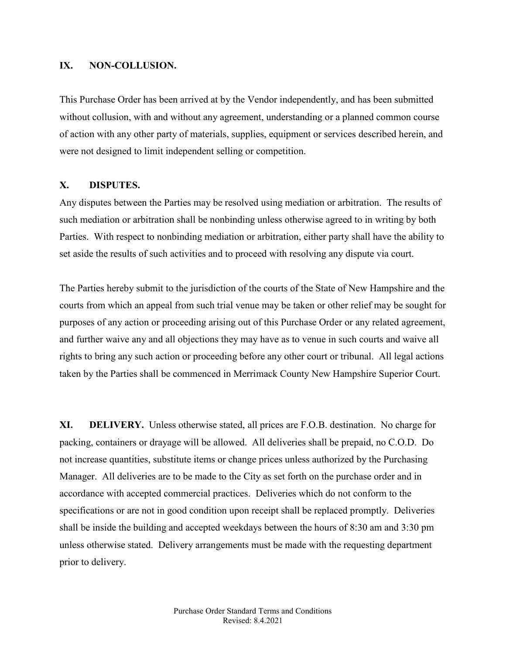## **IX. NON-COLLUSION.**

This Purchase Order has been arrived at by the Vendor independently, and has been submitted without collusion, with and without any agreement, understanding or a planned common course of action with any other party of materials, supplies, equipment or services described herein, and were not designed to limit independent selling or competition.

#### **X. DISPUTES.**

Any disputes between the Parties may be resolved using mediation or arbitration. The results of such mediation or arbitration shall be nonbinding unless otherwise agreed to in writing by both Parties. With respect to nonbinding mediation or arbitration, either party shall have the ability to set aside the results of such activities and to proceed with resolving any dispute via court.

The Parties hereby submit to the jurisdiction of the courts of the State of New Hampshire and the courts from which an appeal from such trial venue may be taken or other relief may be sought for purposes of any action or proceeding arising out of this Purchase Order or any related agreement, and further waive any and all objections they may have as to venue in such courts and waive all rights to bring any such action or proceeding before any other court or tribunal. All legal actions taken by the Parties shall be commenced in Merrimack County New Hampshire Superior Court.

**XI. DELIVERY.** Unless otherwise stated, all prices are F.O.B. destination. No charge for packing, containers or drayage will be allowed. All deliveries shall be prepaid, no C.O.D. Do not increase quantities, substitute items or change prices unless authorized by the Purchasing Manager. All deliveries are to be made to the City as set forth on the purchase order and in accordance with accepted commercial practices. Deliveries which do not conform to the specifications or are not in good condition upon receipt shall be replaced promptly. Deliveries shall be inside the building and accepted weekdays between the hours of 8:30 am and 3:30 pm unless otherwise stated. Delivery arrangements must be made with the requesting department prior to delivery.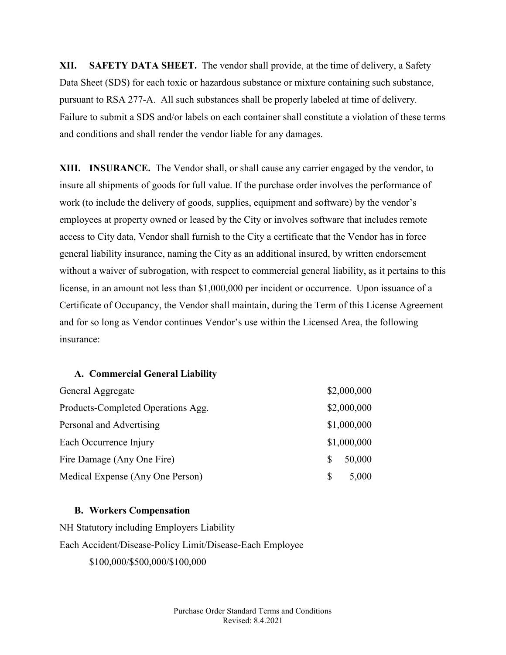**XII. SAFETY DATA SHEET.** The vendor shall provide, at the time of delivery, a Safety Data Sheet (SDS) for each toxic or hazardous substance or mixture containing such substance, pursuant to RSA 277-A. All such substances shall be properly labeled at time of delivery. Failure to submit a SDS and/or labels on each container shall constitute a violation of these terms and conditions and shall render the vendor liable for any damages.

**XIII. INSURANCE.** The Vendor shall, or shall cause any carrier engaged by the vendor, to insure all shipments of goods for full value. If the purchase order involves the performance of work (to include the delivery of goods, supplies, equipment and software) by the vendor's employees at property owned or leased by the City or involves software that includes remote access to City data, Vendor shall furnish to the City a certificate that the Vendor has in force general liability insurance, naming the City as an additional insured, by written endorsement without a waiver of subrogation, with respect to commercial general liability, as it pertains to this license, in an amount not less than \$1,000,000 per incident or occurrence. Upon issuance of a Certificate of Occupancy, the Vendor shall maintain, during the Term of this License Agreement and for so long as Vendor continues Vendor's use within the Licensed Area, the following insurance:

#### **A. Commercial General Liability**

| General Aggregate                  |     | \$2,000,000 |
|------------------------------------|-----|-------------|
| Products-Completed Operations Agg. |     | \$2,000,000 |
| Personal and Advertising           |     | \$1,000,000 |
| Each Occurrence Injury             |     | \$1,000,000 |
| Fire Damage (Any One Fire)         | \$. | 50,000      |
| Medical Expense (Any One Person)   | S   | 5,000       |

#### **B. Workers Compensation**

NH Statutory including Employers Liability Each Accident/Disease-Policy Limit/Disease-Each Employee \$100,000/\$500,000/\$100,000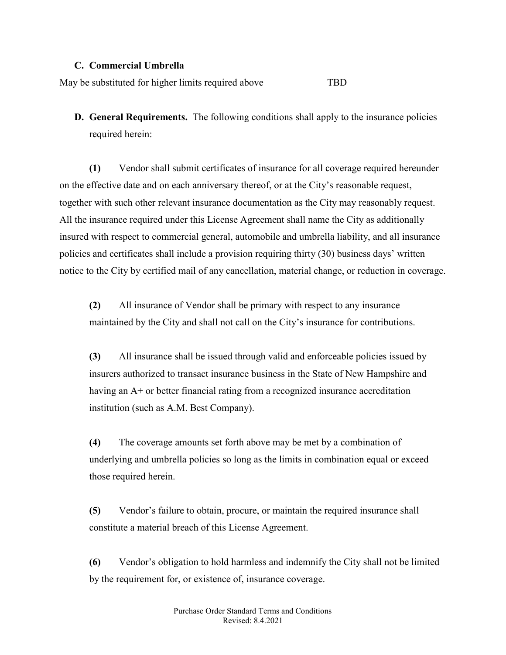### **C. Commercial Umbrella**

May be substituted for higher limits required above TBD

**D. General Requirements.** The following conditions shall apply to the insurance policies required herein:

**(1)** Vendor shall submit certificates of insurance for all coverage required hereunder on the effective date and on each anniversary thereof, or at the City's reasonable request, together with such other relevant insurance documentation as the City may reasonably request. All the insurance required under this License Agreement shall name the City as additionally insured with respect to commercial general, automobile and umbrella liability, and all insurance policies and certificates shall include a provision requiring thirty (30) business days' written notice to the City by certified mail of any cancellation, material change, or reduction in coverage.

**(2)** All insurance of Vendor shall be primary with respect to any insurance maintained by the City and shall not call on the City's insurance for contributions.

**(3)** All insurance shall be issued through valid and enforceable policies issued by insurers authorized to transact insurance business in the State of New Hampshire and having an A+ or better financial rating from a recognized insurance accreditation institution (such as A.M. Best Company).

**(4)** The coverage amounts set forth above may be met by a combination of underlying and umbrella policies so long as the limits in combination equal or exceed those required herein.

**(5)** Vendor's failure to obtain, procure, or maintain the required insurance shall constitute a material breach of this License Agreement.

**(6)** Vendor's obligation to hold harmless and indemnify the City shall not be limited by the requirement for, or existence of, insurance coverage.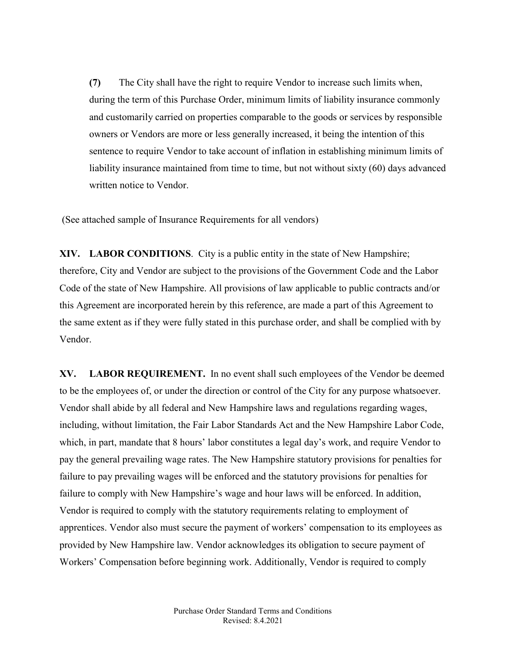**(7)** The City shall have the right to require Vendor to increase such limits when, during the term of this Purchase Order, minimum limits of liability insurance commonly and customarily carried on properties comparable to the goods or services by responsible owners or Vendors are more or less generally increased, it being the intention of this sentence to require Vendor to take account of inflation in establishing minimum limits of liability insurance maintained from time to time, but not without sixty (60) days advanced written notice to Vendor.

(See attached sample of Insurance Requirements for all vendors)

**XIV. LABOR CONDITIONS**. City is a public entity in the state of New Hampshire; therefore, City and Vendor are subject to the provisions of the Government Code and the Labor Code of the state of New Hampshire. All provisions of law applicable to public contracts and/or this Agreement are incorporated herein by this reference, are made a part of this Agreement to the same extent as if they were fully stated in this purchase order, and shall be complied with by Vendor.

**XV. LABOR REQUIREMENT.** In no event shall such employees of the Vendor be deemed to be the employees of, or under the direction or control of the City for any purpose whatsoever. Vendor shall abide by all federal and New Hampshire laws and regulations regarding wages, including, without limitation, the Fair Labor Standards Act and the New Hampshire Labor Code, which, in part, mandate that 8 hours' labor constitutes a legal day's work, and require Vendor to pay the general prevailing wage rates. The New Hampshire statutory provisions for penalties for failure to pay prevailing wages will be enforced and the statutory provisions for penalties for failure to comply with New Hampshire's wage and hour laws will be enforced. In addition, Vendor is required to comply with the statutory requirements relating to employment of apprentices. Vendor also must secure the payment of workers' compensation to its employees as provided by New Hampshire law. Vendor acknowledges its obligation to secure payment of Workers' Compensation before beginning work. Additionally, Vendor is required to comply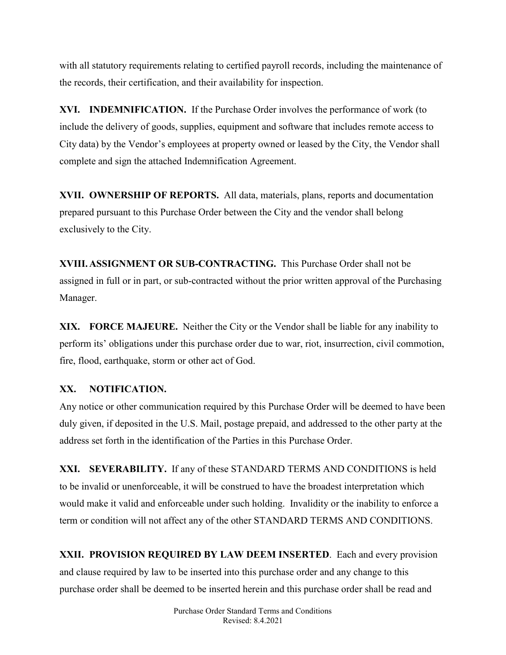with all statutory requirements relating to certified payroll records, including the maintenance of the records, their certification, and their availability for inspection.

**XVI. INDEMNIFICATION.** If the Purchase Order involves the performance of work (to include the delivery of goods, supplies, equipment and software that includes remote access to City data) by the Vendor's employees at property owned or leased by the City, the Vendor shall complete and sign the attached Indemnification Agreement.

**XVII. OWNERSHIP OF REPORTS.** All data, materials, plans, reports and documentation prepared pursuant to this Purchase Order between the City and the vendor shall belong exclusively to the City.

**XVIII.ASSIGNMENT OR SUB-CONTRACTING.** This Purchase Order shall not be assigned in full or in part, or sub-contracted without the prior written approval of the Purchasing Manager.

**XIX. FORCE MAJEURE.** Neither the City or the Vendor shall be liable for any inability to perform its' obligations under this purchase order due to war, riot, insurrection, civil commotion, fire, flood, earthquake, storm or other act of God.

# **XX. NOTIFICATION.**

Any notice or other communication required by this Purchase Order will be deemed to have been duly given, if deposited in the U.S. Mail, postage prepaid, and addressed to the other party at the address set forth in the identification of the Parties in this Purchase Order.

**XXI. SEVERABILITY.** If any of these STANDARD TERMS AND CONDITIONS is held to be invalid or unenforceable, it will be construed to have the broadest interpretation which would make it valid and enforceable under such holding. Invalidity or the inability to enforce a term or condition will not affect any of the other STANDARD TERMS AND CONDITIONS.

**XXII. PROVISION REQUIRED BY LAW DEEM INSERTED**. Each and every provision and clause required by law to be inserted into this purchase order and any change to this purchase order shall be deemed to be inserted herein and this purchase order shall be read and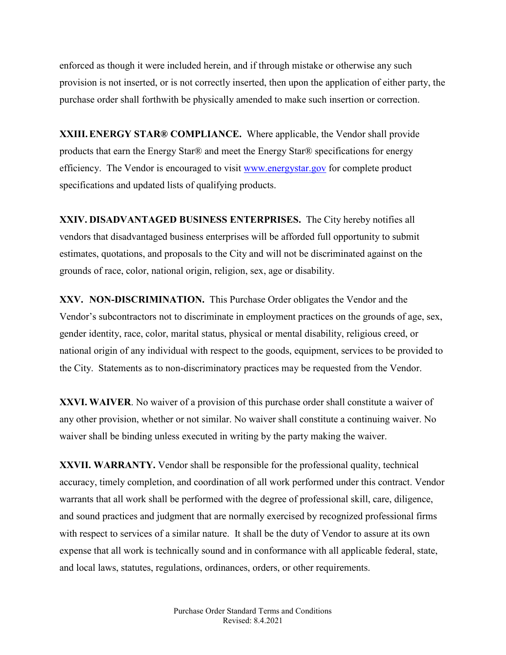enforced as though it were included herein, and if through mistake or otherwise any such provision is not inserted, or is not correctly inserted, then upon the application of either party, the purchase order shall forthwith be physically amended to make such insertion or correction.

**XXIII.ENERGY STAR® COMPLIANCE.** Where applicable, the Vendor shall provide products that earn the Energy Star® and meet the Energy Star® specifications for energy efficiency. The Vendor is encouraged to visit [www.energystar.gov](http://www.energystar.gov/) for complete product specifications and updated lists of qualifying products.

**XXIV. DISADVANTAGED BUSINESS ENTERPRISES.** The City hereby notifies all vendors that disadvantaged business enterprises will be afforded full opportunity to submit estimates, quotations, and proposals to the City and will not be discriminated against on the grounds of race, color, national origin, religion, sex, age or disability.

**XXV. NON-DISCRIMINATION.** This Purchase Order obligates the Vendor and the Vendor's subcontractors not to discriminate in employment practices on the grounds of age, sex, gender identity, race, color, marital status, physical or mental disability, religious creed, or national origin of any individual with respect to the goods, equipment, services to be provided to the City. Statements as to non-discriminatory practices may be requested from the Vendor.

**XXVI. WAIVER**. No waiver of a provision of this purchase order shall constitute a waiver of any other provision, whether or not similar. No waiver shall constitute a continuing waiver. No waiver shall be binding unless executed in writing by the party making the waiver.

**XXVII. WARRANTY.** Vendor shall be responsible for the professional quality, technical accuracy, timely completion, and coordination of all work performed under this contract. Vendor warrants that all work shall be performed with the degree of professional skill, care, diligence, and sound practices and judgment that are normally exercised by recognized professional firms with respect to services of a similar nature. It shall be the duty of Vendor to assure at its own expense that all work is technically sound and in conformance with all applicable federal, state, and local laws, statutes, regulations, ordinances, orders, or other requirements.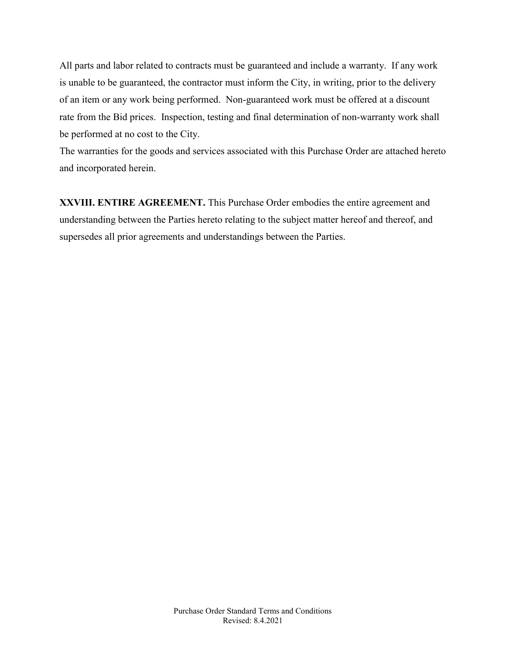All parts and labor related to contracts must be guaranteed and include a warranty. If any work is unable to be guaranteed, the contractor must inform the City, in writing, prior to the delivery of an item or any work being performed. Non-guaranteed work must be offered at a discount rate from the Bid prices. Inspection, testing and final determination of non-warranty work shall be performed at no cost to the City.

The warranties for the goods and services associated with this Purchase Order are attached hereto and incorporated herein.

**XXVIII. ENTIRE AGREEMENT.** This Purchase Order embodies the entire agreement and understanding between the Parties hereto relating to the subject matter hereof and thereof, and supersedes all prior agreements and understandings between the Parties.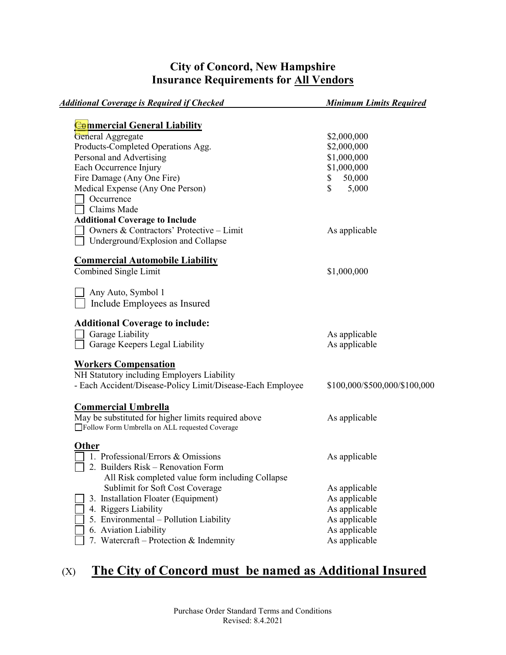# **City of Concord, New Hampshire Insurance Requirements for All Vendors**

| <b>Additional Coverage is Required if Checked</b>                                                      | <b>Minimum Limits Required</b> |
|--------------------------------------------------------------------------------------------------------|--------------------------------|
|                                                                                                        |                                |
| <b>Commercial General Liability</b>                                                                    |                                |
| General Aggregate<br>Products-Completed Operations Agg.                                                | \$2,000,000<br>\$2,000,000     |
| Personal and Advertising                                                                               | \$1,000,000                    |
|                                                                                                        | \$1,000,000                    |
| Each Occurrence Injury                                                                                 |                                |
| Fire Damage (Any One Fire)                                                                             | 50,000<br>\$<br>\$             |
| Medical Expense (Any One Person)                                                                       | 5,000                          |
| Occurrence<br>Claims Made                                                                              |                                |
|                                                                                                        |                                |
| <b>Additional Coverage to Include</b>                                                                  |                                |
| Owners & Contractors' Protective - Limit                                                               | As applicable                  |
| Underground/Explosion and Collapse                                                                     |                                |
| <b>Commercial Automobile Liability</b>                                                                 |                                |
| Combined Single Limit                                                                                  | \$1,000,000                    |
|                                                                                                        |                                |
| Any Auto, Symbol 1                                                                                     |                                |
| Include Employees as Insured                                                                           |                                |
| <b>Additional Coverage to include:</b>                                                                 |                                |
| Garage Liability                                                                                       | As applicable                  |
| Garage Keepers Legal Liability                                                                         | As applicable                  |
|                                                                                                        |                                |
| <b>Workers Compensation</b>                                                                            |                                |
| NH Statutory including Employers Liability                                                             |                                |
| - Each Accident/Disease-Policy Limit/Disease-Each Employee                                             | \$100,000/\$500,000/\$100,000  |
|                                                                                                        |                                |
| <b>Commercial Umbrella</b>                                                                             |                                |
| May be substituted for higher limits required above<br>□Follow Form Umbrella on ALL requested Coverage | As applicable                  |
|                                                                                                        |                                |
| <b>Other</b>                                                                                           |                                |
| 1. Professional/Errors & Omissions                                                                     | As applicable                  |
| 2. Builders Risk - Renovation Form                                                                     |                                |
| All Risk completed value form including Collapse                                                       |                                |
| Sublimit for Soft Cost Coverage                                                                        | As applicable                  |
| 3. Installation Floater (Equipment)                                                                    | As applicable                  |
| 4. Riggers Liability                                                                                   | As applicable                  |
| 5. Environmental - Pollution Liability                                                                 | As applicable                  |
| 6. Aviation Liability                                                                                  | As applicable                  |
| 7. Watercraft - Protection & Indemnity                                                                 | As applicable                  |

# (X) **The City of Concord must be named as Additional Insured**